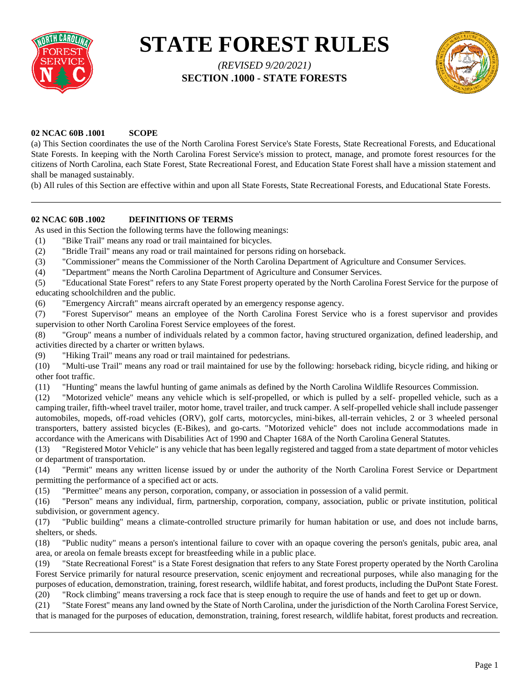

# **STATE FOREST RULES**

*(REVISED 9/20/2021)*  **SECTION .1000 - STATE FORESTS**



# **02 NCAC 60B .1001 SCOPE**

(a) This Section coordinates the use of the North Carolina Forest Service's State Forests, State Recreational Forests, and Educational State Forests. In keeping with the North Carolina Forest Service's mission to protect, manage, and promote forest resources for the citizens of North Carolina, each State Forest, State Recreational Forest, and Education State Forest shall have a mission statement and shall be managed sustainably.

(b) All rules of this Section are effective within and upon all State Forests, State Recreational Forests, and Educational State Forests.

# **02 NCAC 60B .1002 DEFINITIONS OF TERMS**

As used in this Section the following terms have the following meanings:

- (1) "Bike Trail" means any road or trail maintained for bicycles.
- (2) "Bridle Trail" means any road or trail maintained for persons riding on horseback.
- (3) "Commissioner" means the Commissioner of the North Carolina Department of Agriculture and Consumer Services.

(4) "Department" means the North Carolina Department of Agriculture and Consumer Services.

(5) "Educational State Forest" refers to any State Forest property operated by the North Carolina Forest Service for the purpose of educating schoolchildren and the public.

(6) "Emergency Aircraft" means aircraft operated by an emergency response agency.

(7) "Forest Supervisor" means an employee of the North Carolina Forest Service who is a forest supervisor and provides supervision to other North Carolina Forest Service employees of the forest.

(8) "Group" means a number of individuals related by a common factor, having structured organization, defined leadership, and activities directed by a charter or written bylaws.

(9) "Hiking Trail" means any road or trail maintained for pedestrians.

(10) "Multi-use Trail" means any road or trail maintained for use by the following: horseback riding, bicycle riding, and hiking or other foot traffic.

(11) "Hunting" means the lawful hunting of game animals as defined by the North Carolina Wildlife Resources Commission.

(12) "Motorized vehicle" means any vehicle which is self-propelled, or which is pulled by a self- propelled vehicle, such as a camping trailer, fifth-wheel travel trailer, motor home, travel trailer, and truck camper. A self-propelled vehicle shall include passenger automobiles, mopeds, off-road vehicles (ORV), golf carts, motorcycles, mini-bikes, all-terrain vehicles, 2 or 3 wheeled personal transporters, battery assisted bicycles (E-Bikes), and go-carts. "Motorized vehicle" does not include accommodations made in accordance with the Americans with Disabilities Act of 1990 and Chapter 168A of the North Carolina General Statutes.

(13) "Registered Motor Vehicle" is any vehicle that has been legally registered and tagged from a state department of motor vehicles or department of transportation.

(14) "Permit" means any written license issued by or under the authority of the North Carolina Forest Service or Department permitting the performance of a specified act or acts.

(15) "Permittee" means any person, corporation, company, or association in possession of a valid permit.

(16) "Person" means any individual, firm, partnership, corporation, company, association, public or private institution, political subdivision, or government agency.

(17) "Public building" means a climate-controlled structure primarily for human habitation or use, and does not include barns, shelters, or sheds.

(18) "Public nudity" means a person's intentional failure to cover with an opaque covering the person's genitals, pubic area, anal area, or areola on female breasts except for breastfeeding while in a public place.

(19) "State Recreational Forest" is a State Forest designation that refers to any State Forest property operated by the North Carolina Forest Service primarily for natural resource preservation, scenic enjoyment and recreational purposes, while also managing for the purposes of education, demonstration, training, forest research, wildlife habitat, and forest products, including the DuPont State Forest. (20) "Rock climbing" means traversing a rock face that is steep enough to require the use of hands and feet to get up or down.

(21) "State Forest" means any land owned by the State of North Carolina, under the jurisdiction of the North Carolina Forest Service,

that is managed for the purposes of education, demonstration, training, forest research, wildlife habitat, forest products and recreation.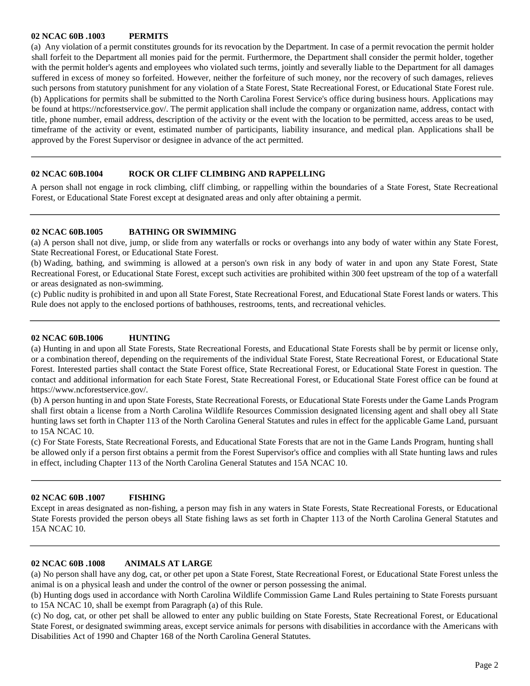## **02 NCAC 60B .1003 PERMITS**

(a) Any violation of a permit constitutes grounds for its revocation by the Department. In case of a permit revocation the permit holder shall forfeit to the Department all monies paid for the permit. Furthermore, the Department shall consider the permit holder, together with the permit holder's agents and employees who violated such terms, jointly and severally liable to the Department for all damages suffered in excess of money so forfeited. However, neither the forfeiture of such money, nor the recovery of such damages, relieves such persons from statutory punishment for any violation of a State Forest, State Recreational Forest, or Educational State Forest rule. (b) Applications for permits shall be submitted to the North Carolina Forest Service's office during business hours. Applications may be found at https://ncforestservice.gov/. The permit application shall include the company or organization name, address, contact with title, phone number, email address, description of the activity or the event with the location to be permitted, access areas to be used, timeframe of the activity or event, estimated number of participants, liability insurance, and medical plan. Applications shall be approved by the Forest Supervisor or designee in advance of the act permitted.

## **02 NCAC 60B.1004 ROCK OR CLIFF CLIMBING AND RAPPELLING**

A person shall not engage in rock climbing, cliff climbing, or rappelling within the boundaries of a State Forest, State Recreational Forest, or Educational State Forest except at designated areas and only after obtaining a permit.

#### **02 NCAC 60B.1005 BATHING OR SWIMMING**

(a) A person shall not dive, jump, or slide from any waterfalls or rocks or overhangs into any body of water within any State Forest, State Recreational Forest, or Educational State Forest.

(b) Wading, bathing, and swimming is allowed at a person's own risk in any body of water in and upon any State Forest, State Recreational Forest, or Educational State Forest, except such activities are prohibited within 300 feet upstream of the top of a waterfall or areas designated as non-swimming.

(c) Public nudity is prohibited in and upon all State Forest, State Recreational Forest, and Educational State Forest lands or waters. This Rule does not apply to the enclosed portions of bathhouses, restrooms, tents, and recreational vehicles.

#### **02 NCAC 60B.1006 HUNTING**

(a) Hunting in and upon all State Forests, State Recreational Forests, and Educational State Forests shall be by permit or license only, or a combination thereof, depending on the requirements of the individual State Forest, State Recreational Forest, or Educational State Forest. Interested parties shall contact the State Forest office, State Recreational Forest, or Educational State Forest in question. The contact and additional information for each State Forest, State Recreational Forest, or Educational State Forest office can be found at https:/[/www.ncforestservice.gov/.](http://www.ncforestservice.gov/)

(b) A person hunting in and upon State Forests, State Recreational Forests, or Educational State Forests under the Game Lands Program shall first obtain a license from a North Carolina Wildlife Resources Commission designated licensing agent and shall obey all State hunting laws set forth in Chapter 113 of the North Carolina General Statutes and rules in effect for the applicable Game Land, pursuant to 15A NCAC 10.

(c) For State Forests, State Recreational Forests, and Educational State Forests that are not in the Game Lands Program, hunting shall be allowed only if a person first obtains a permit from the Forest Supervisor's office and complies with all State hunting laws and rules in effect, including Chapter 113 of the North Carolina General Statutes and 15A NCAC 10.

#### **02 NCAC 60B .1007 FISHING**

Except in areas designated as non-fishing, a person may fish in any waters in State Forests, State Recreational Forests, or Educational State Forests provided the person obeys all State fishing laws as set forth in Chapter 113 of the North Carolina General Statutes and 15A NCAC 10.

#### **02 NCAC 60B .1008 ANIMALS AT LARGE**

(a) No person shall have any dog, cat, or other pet upon a State Forest, State Recreational Forest, or Educational State Forest unless the animal is on a physical leash and under the control of the owner or person possessing the animal.

(b) Hunting dogs used in accordance with North Carolina Wildlife Commission Game Land Rules pertaining to State Forests pursuant to 15A NCAC 10, shall be exempt from Paragraph (a) of this Rule.

(c) No dog, cat, or other pet shall be allowed to enter any public building on State Forests, State Recreational Forest, or Educational State Forest, or designated swimming areas, except service animals for persons with disabilities in accordance with the Americans with Disabilities Act of 1990 and Chapter 168 of the North Carolina General Statutes.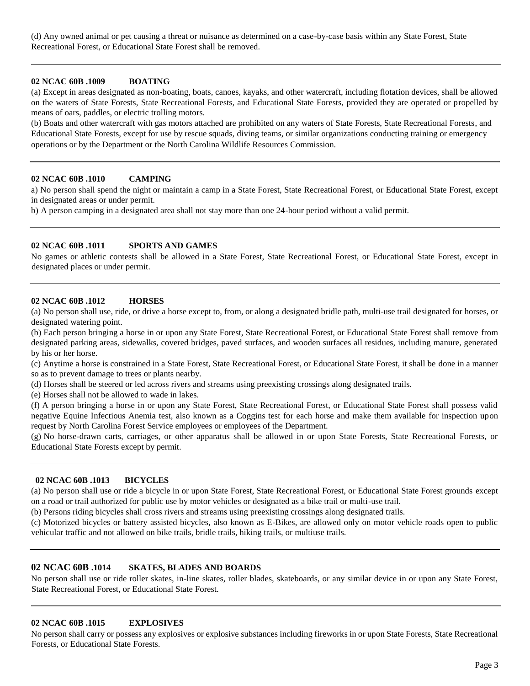(d) Any owned animal or pet causing a threat or nuisance as determined on a case-by-case basis within any State Forest, State Recreational Forest, or Educational State Forest shall be removed.

# **02 NCAC 60B .1009 BOATING**

(a) Except in areas designated as non-boating, boats, canoes, kayaks, and other watercraft, including flotation devices, shall be allowed on the waters of State Forests, State Recreational Forests, and Educational State Forests, provided they are operated or propelled by means of oars, paddles, or electric trolling motors.

(b) Boats and other watercraft with gas motors attached are prohibited on any waters of State Forests, State Recreational Forests, and Educational State Forests, except for use by rescue squads, diving teams, or similar organizations conducting training or emergency operations or by the Department or the North Carolina Wildlife Resources Commission.

# **02 NCAC 60B .1010 CAMPING**

a) No person shall spend the night or maintain a camp in a State Forest, State Recreational Forest, or Educational State Forest, except in designated areas or under permit.

b) A person camping in a designated area shall not stay more than one 24-hour period without a valid permit.

# **02 NCAC 60B .1011 SPORTS AND GAMES**

No games or athletic contests shall be allowed in a State Forest, State Recreational Forest, or Educational State Forest, except in designated places or under permit.

## **02 NCAC 60B .1012 HORSES**

(a) No person shall use, ride, or drive a horse except to, from, or along a designated bridle path, multi-use trail designated for horses, or designated watering point.

(b) Each person bringing a horse in or upon any State Forest, State Recreational Forest, or Educational State Forest shall remove from designated parking areas, sidewalks, covered bridges, paved surfaces, and wooden surfaces all residues, including manure, generated by his or her horse.

(c) Anytime a horse is constrained in a State Forest, State Recreational Forest, or Educational State Forest, it shall be done in a manner so as to prevent damage to trees or plants nearby.

(d) Horses shall be steered or led across rivers and streams using preexisting crossings along designated trails.

(e) Horses shall not be allowed to wade in lakes.

(f) A person bringing a horse in or upon any State Forest, State Recreational Forest, or Educational State Forest shall possess valid negative Equine Infectious Anemia test, also known as a Coggins test for each horse and make them available for inspection upon request by North Carolina Forest Service employees or employees of the Department.

(g) No horse-drawn carts, carriages, or other apparatus shall be allowed in or upon State Forests, State Recreational Forests, or Educational State Forests except by permit.

## **02 NCAC 60B .1013 BICYCLES**

(a) No person shall use or ride a bicycle in or upon State Forest, State Recreational Forest, or Educational State Forest grounds except on a road or trail authorized for public use by motor vehicles or designated as a bike trail or multi-use trail.

(b) Persons riding bicycles shall cross rivers and streams using preexisting crossings along designated trails.

(c) Motorized bicycles or battery assisted bicycles, also known as E-Bikes, are allowed only on motor vehicle roads open to public vehicular traffic and not allowed on bike trails, bridle trails, hiking trails, or multiuse trails.

# **02 NCAC 60B .1014 SKATES, BLADES AND BOARDS**

No person shall use or ride roller skates, in-line skates, roller blades, skateboards, or any similar device in or upon any State Forest, State Recreational Forest, or Educational State Forest.

#### **02 NCAC 60B .1015 EXPLOSIVES**

No person shall carry or possess any explosives or explosive substances including fireworks in or upon State Forests, State Recreational Forests, or Educational State Forests.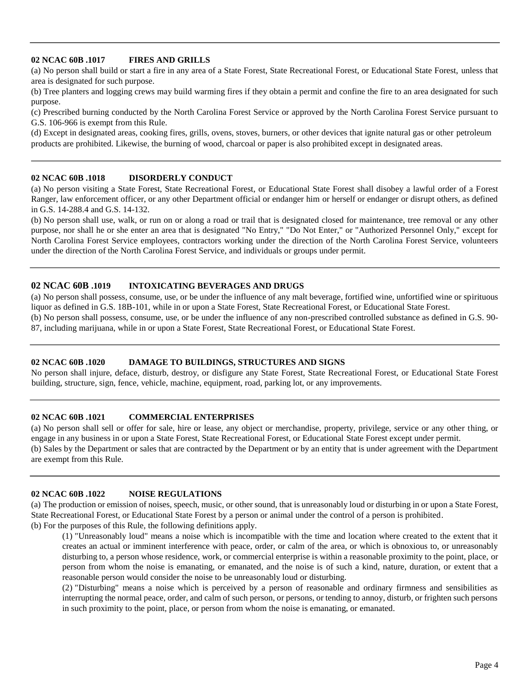# **02 NCAC 60B .1017 FIRES AND GRILLS**

(a) No person shall build or start a fire in any area of a State Forest, State Recreational Forest, or Educational State Forest, unless that area is designated for such purpose.

(b) Tree planters and logging crews may build warming fires if they obtain a permit and confine the fire to an area designated for such purpose.

(c) Prescribed burning conducted by the North Carolina Forest Service or approved by the North Carolina Forest Service pursuant to G.S. 106-966 is exempt from this Rule.

(d) Except in designated areas, cooking fires, grills, ovens, stoves, burners, or other devices that ignite natural gas or other petroleum products are prohibited. Likewise, the burning of wood, charcoal or paper is also prohibited except in designated areas.

## **02 NCAC 60B .1018 DISORDERLY CONDUCT**

(a) No person visiting a State Forest, State Recreational Forest, or Educational State Forest shall disobey a lawful order of a Forest Ranger, law enforcement officer, or any other Department official or endanger him or herself or endanger or disrupt others, as defined in G.S. 14-288.4 and G.S. 14-132.

(b) No person shall use, walk, or run on or along a road or trail that is designated closed for maintenance, tree removal or any other purpose, nor shall he or she enter an area that is designated "No Entry," "Do Not Enter," or "Authorized Personnel Only," except for North Carolina Forest Service employees, contractors working under the direction of the North Carolina Forest Service, volunteers under the direction of the North Carolina Forest Service, and individuals or groups under permit.

# **02 NCAC 60B .1019 INTOXICATING BEVERAGES AND DRUGS**

(a) No person shall possess, consume, use, or be under the influence of any malt beverage, fortified wine, unfortified wine or spirituous liquor as defined in G.S. 18B-101, while in or upon a State Forest, State Recreational Forest, or Educational State Forest.

(b) No person shall possess, consume, use, or be under the influence of any non-prescribed controlled substance as defined in G.S. 90- 87, including marijuana, while in or upon a State Forest, State Recreational Forest, or Educational State Forest.

## **02 NCAC 60B .1020 DAMAGE TO BUILDINGS, STRUCTURES AND SIGNS**

No person shall injure, deface, disturb, destroy, or disfigure any State Forest, State Recreational Forest, or Educational State Forest building, structure, sign, fence, vehicle, machine, equipment, road, parking lot, or any improvements.

#### **02 NCAC 60B .1021 COMMERCIAL ENTERPRISES**

(a) No person shall sell or offer for sale, hire or lease, any object or merchandise, property, privilege, service or any other thing, or engage in any business in or upon a State Forest, State Recreational Forest, or Educational State Forest except under permit. (b) Sales by the Department or sales that are contracted by the Department or by an entity that is under agreement with the Department are exempt from this Rule.

#### **02 NCAC 60B .1022 NOISE REGULATIONS**

(a) The production or emission of noises, speech, music, or other sound, that is unreasonably loud or disturbing in or upon a State Forest, State Recreational Forest, or Educational State Forest by a person or animal under the control of a person is prohibited.

(b) For the purposes of this Rule, the following definitions apply.

(1) "Unreasonably loud" means a noise which is incompatible with the time and location where created to the extent that it creates an actual or imminent interference with peace, order, or calm of the area, or which is obnoxious to, or unreasonably disturbing to, a person whose residence, work, or commercial enterprise is within a reasonable proximity to the point, place, or person from whom the noise is emanating, or emanated, and the noise is of such a kind, nature, duration, or extent that a reasonable person would consider the noise to be unreasonably loud or disturbing.

(2) "Disturbing" means a noise which is perceived by a person of reasonable and ordinary firmness and sensibilities as interrupting the normal peace, order, and calm of such person, or persons, or tending to annoy, disturb, or frighten such persons in such proximity to the point, place, or person from whom the noise is emanating, or emanated.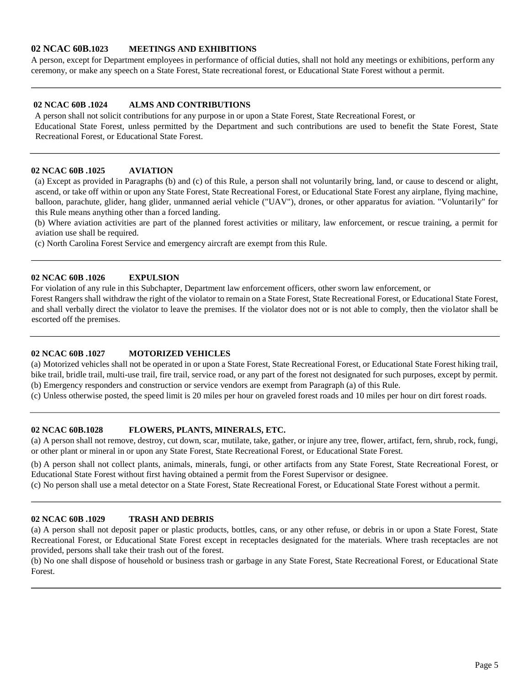# **02 NCAC 60B.1023 MEETINGS AND EXHIBITIONS**

A person, except for Department employees in performance of official duties, shall not hold any meetings or exhibitions, perform any ceremony, or make any speech on a State Forest, State recreational forest, or Educational State Forest without a permit.

# **02 NCAC 60B .1024 ALMS AND CONTRIBUTIONS**

A person shall not solicit contributions for any purpose in or upon a State Forest, State Recreational Forest, or

Educational State Forest, unless permitted by the Department and such contributions are used to benefit the State Forest, State Recreational Forest, or Educational State Forest.

# **02 NCAC 60B .1025 AVIATION**

(a) Except as provided in Paragraphs (b) and (c) of this Rule, a person shall not voluntarily bring, land, or cause to descend or alight, ascend, or take off within or upon any State Forest, State Recreational Forest, or Educational State Forest any airplane, flying machine, balloon, parachute, glider, hang glider, unmanned aerial vehicle ("UAV"), drones, or other apparatus for aviation. "Voluntarily" for this Rule means anything other than a forced landing.

(b) Where aviation activities are part of the planned forest activities or military, law enforcement, or rescue training, a permit for aviation use shall be required.

(c) North Carolina Forest Service and emergency aircraft are exempt from this Rule.

# **02 NCAC 60B .1026 EXPULSION**

For violation of any rule in this Subchapter, Department law enforcement officers, other sworn law enforcement, or

Forest Rangers shall withdraw the right of the violator to remain on a State Forest, State Recreational Forest, or Educational State Forest, and shall verbally direct the violator to leave the premises. If the violator does not or is not able to comply, then the violator shall be escorted off the premises.

# **02 NCAC 60B .1027 MOTORIZED VEHICLES**

(a) Motorized vehicles shall not be operated in or upon a State Forest, State Recreational Forest, or Educational State Forest hiking trail, bike trail, bridle trail, multi-use trail, fire trail, service road, or any part of the forest not designated for such purposes, except by permit. (b) Emergency responders and construction or service vendors are exempt from Paragraph (a) of this Rule.

(c) Unless otherwise posted, the speed limit is 20 miles per hour on graveled forest roads and 10 miles per hour on dirt forest roads.

# **02 NCAC 60B.1028 FLOWERS, PLANTS, MINERALS, ETC.**

(a) A person shall not remove, destroy, cut down, scar, mutilate, take, gather, or injure any tree, flower, artifact, fern, shrub, rock, fungi, or other plant or mineral in or upon any State Forest, State Recreational Forest, or Educational State Forest.

(b) A person shall not collect plants, animals, minerals, fungi, or other artifacts from any State Forest, State Recreational Forest, or Educational State Forest without first having obtained a permit from the Forest Supervisor or designee.

(c) No person shall use a metal detector on a State Forest, State Recreational Forest, or Educational State Forest without a permit.

#### **02 NCAC 60B .1029 TRASH AND DEBRIS**

(a) A person shall not deposit paper or plastic products, bottles, cans, or any other refuse, or debris in or upon a State Forest, State Recreational Forest, or Educational State Forest except in receptacles designated for the materials. Where trash receptacles are not provided, persons shall take their trash out of the forest.

(b) No one shall dispose of household or business trash or garbage in any State Forest, State Recreational Forest, or Educational State Forest.